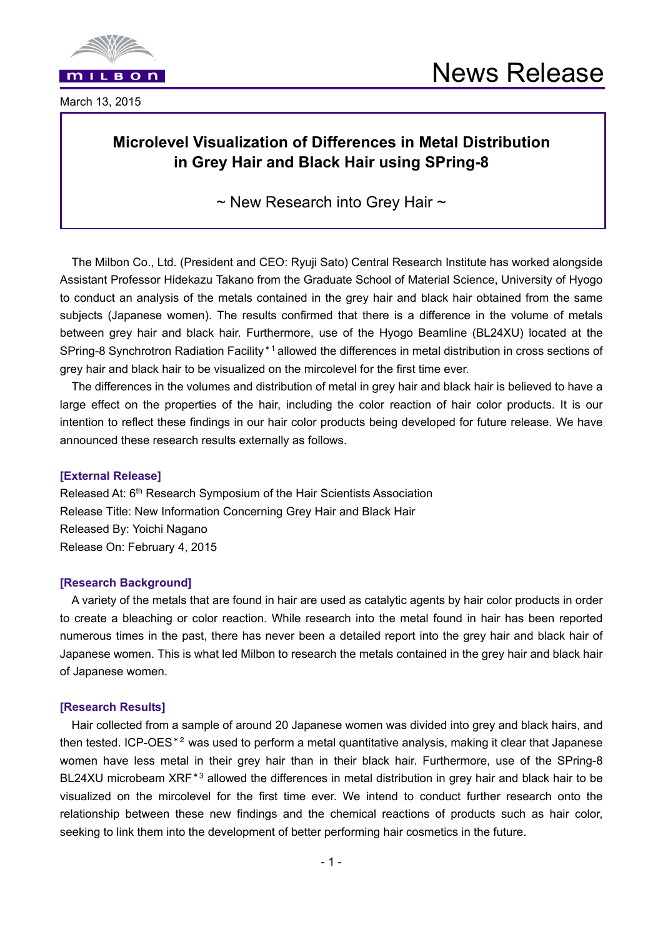



March 13, 2015

## **Microlevel Visualization of Differences in Metal Distribution in Grey Hair and Black Hair using SPring-8**

 $\sim$  New Research into Grey Hair  $\sim$ 

The Milbon Co., Ltd. (President and CEO: Ryuji Sato) Central Research Institute has worked alongside Assistant Professor Hidekazu Takano from the Graduate School of Material Science, University of Hyogo to conduct an analysis of the metals contained in the grey hair and black hair obtained from the same subjects (Japanese women). The results confirmed that there is a difference in the volume of metals between grey hair and black hair. Furthermore, use of the Hyogo Beamline (BL24XU) located at the SPring-8 Synchrotron Radiation Facility\*1 allowed the differences in metal distribution in cross sections of grey hair and black hair to be visualized on the mircolevel for the first time ever.

The differences in the volumes and distribution of metal in grey hair and black hair is believed to have a large effect on the properties of the hair, including the color reaction of hair color products. It is our intention to reflect these findings in our hair color products being developed for future release. We have announced these research results externally as follows.

## **[External Release]**

Released At: 6<sup>th</sup> Research Symposium of the Hair Scientists Association Release Title: New Information Concerning Grey Hair and Black Hair Released By: Yoichi Nagano Release On: February 4, 2015

## **[Research Background]**

A variety of the metals that are found in hair are used as catalytic agents by hair color products in order to create a bleaching or color reaction. While research into the metal found in hair has been reported numerous times in the past, there has never been a detailed report into the grey hair and black hair of Japanese women. This is what led Milbon to research the metals contained in the grey hair and black hair of Japanese women.

## **[Research Results]**

Hair collected from a sample of around 20 Japanese women was divided into grey and black hairs, and then tested. ICP-OES\*2 was used to perform a metal quantitative analysis, making it clear that Japanese women have less metal in their grey hair than in their black hair. Furthermore, use of the SPring-8 BL24XU microbeam XRF<sup>\*3</sup> allowed the differences in metal distribution in grey hair and black hair to be visualized on the mircolevel for the first time ever. We intend to conduct further research onto the relationship between these new findings and the chemical reactions of products such as hair color, seeking to link them into the development of better performing hair cosmetics in the future.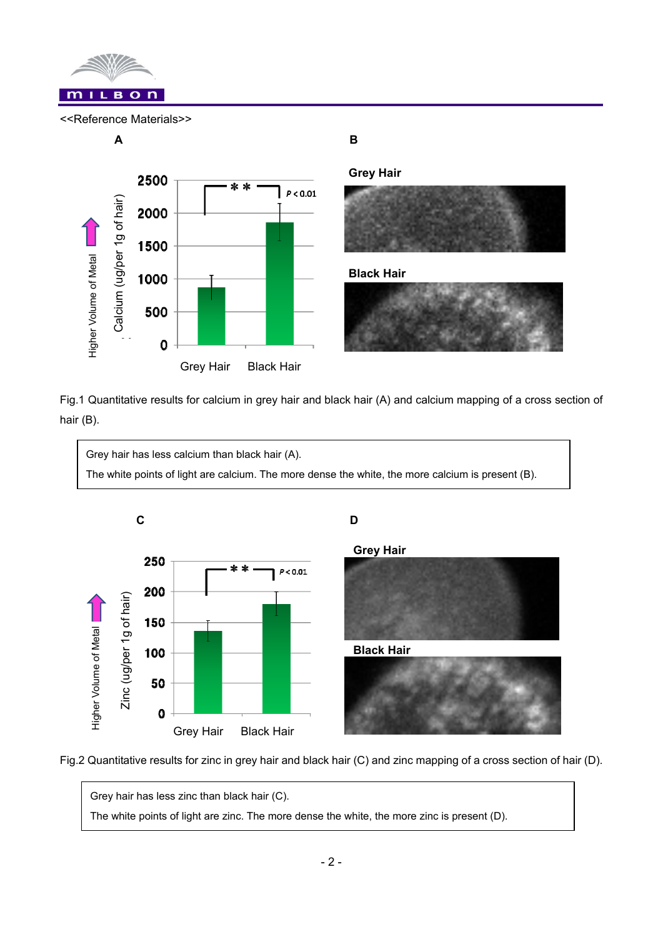

<<Reference Materials>>



**Grey Hair** 



**Black Hair** 



Fig.1 Quantitative results for calcium in grey hair and black hair (A) and calcium mapping of a cross section of hair (B).







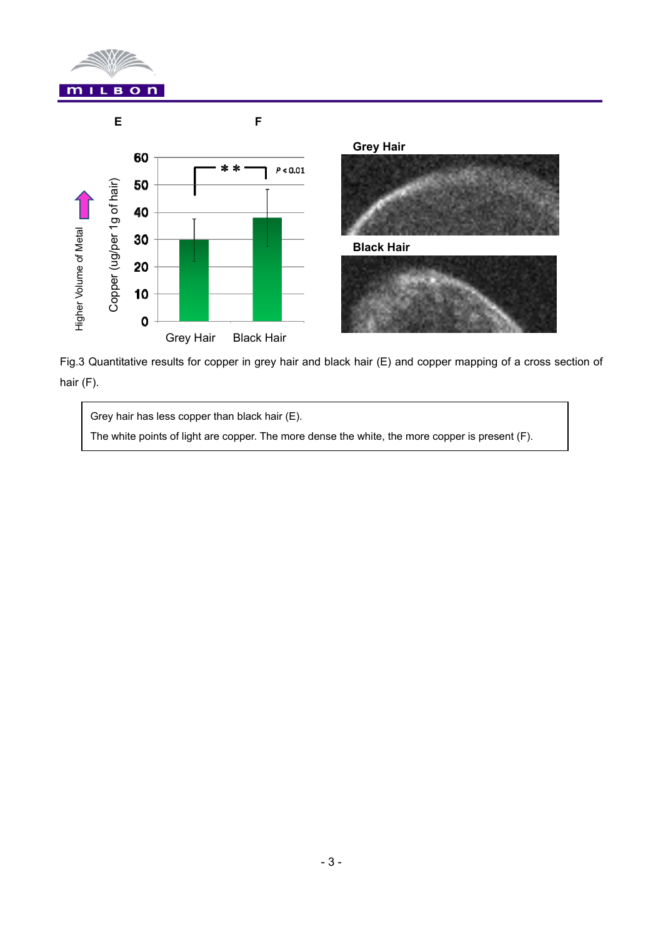





Fig.3 Quantitative results for copper in grey hair and black hair (E) and copper mapping of a cross section of

Grey hair has less copper than black hair (E).

The white points of light are copper. The more dense the white, the more copper is present (F).